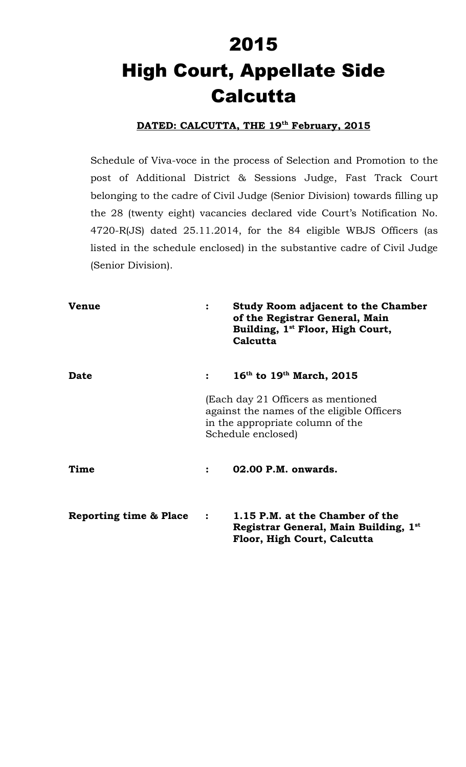# 2015 High Court, Appellate Side **Calcutta**

## **DATED: CALCUTTA, THE 19th February, 2015**

Schedule of Viva-voce in the process of Selection and Promotion to the post of Additional District & Sessions Judge, Fast Track Court belonging to the cadre of Civil Judge (Senior Division) towards filling up the 28 (twenty eight) vacancies declared vide Court's Notification No. 4720-R(JS) dated 25.11.2014, for the 84 eligible WBJS Officers (as listed in the schedule enclosed) in the substantive cadre of Civil Judge (Senior Division).

| <b>Venue</b>                      | $\ddot{\cdot}$                                                                                                                             | <b>Study Room adjacent to the Chamber</b><br>of the Registrar General, Main<br>Building, 1 <sup>st</sup> Floor, High Court,<br>Calcutta |
|-----------------------------------|--------------------------------------------------------------------------------------------------------------------------------------------|-----------------------------------------------------------------------------------------------------------------------------------------|
| <b>Date</b>                       |                                                                                                                                            | $16^{\text{th}}$ to $19^{\text{th}}$ March, 2015                                                                                        |
|                                   | (Each day 21 Officers as mentioned<br>against the names of the eligible Officers<br>in the appropriate column of the<br>Schedule enclosed) |                                                                                                                                         |
| Time                              |                                                                                                                                            | 02.00 P.M. onwards.                                                                                                                     |
| <b>Reporting time &amp; Place</b> | $\ddot{\cdot}$                                                                                                                             | 1.15 P.M. at the Chamber of the<br>Registrar General, Main Building, 1st<br>Floor, High Court, Calcutta                                 |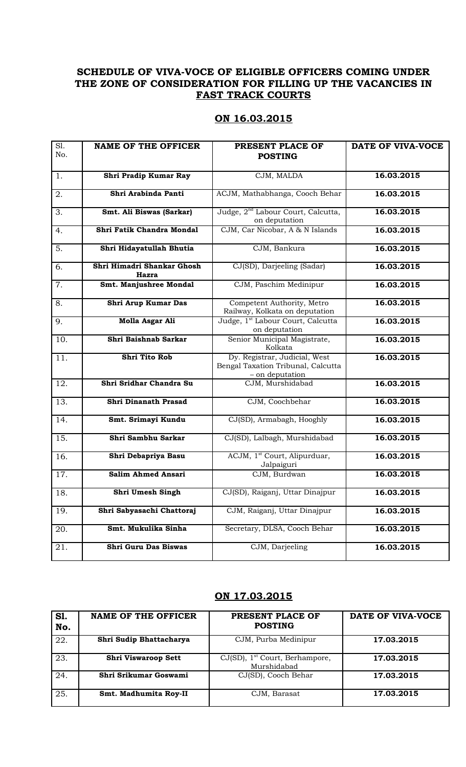### **SCHEDULE OF VIVA-VOCE OF ELIGIBLE OFFICERS COMING UNDER THE ZONE OF CONSIDERATION FOR FILLING UP THE VACANCIES IN FAST TRACK COURTS**

#### **ON 16.03.2015**

| S1. | <b>NAME OF THE OFFICER</b>          | PRESENT PLACE OF                                                                       | DATE OF VIVA-VOCE |
|-----|-------------------------------------|----------------------------------------------------------------------------------------|-------------------|
| No. |                                     | <b>POSTING</b>                                                                         |                   |
| 1.  | Shri Pradip Kumar Ray               | CJM, MALDA                                                                             | 16.03.2015        |
|     |                                     |                                                                                        |                   |
| 2.  | Shri Arabinda Panti                 | ACJM, Mathabhanga, Cooch Behar                                                         | 16.03.2015        |
| 3.  | Smt. Ali Biswas (Sarkar)            | Judge, 2 <sup>nd</sup> Labour Court, Calcutta,<br>on deputation                        | 16.03.2015        |
| 4.  | Shri Fatik Chandra Mondal           | CJM, Car Nicobar, A & N Islands                                                        | 16.03.2015        |
| 5.  | Shri Hidayatullah Bhutia            | CJM, Bankura                                                                           | 16.03.2015        |
| 6.  | Shri Himadri Shankar Ghosh<br>Hazra | CJ(SD), Darjeeling (Sadar)                                                             | 16.03.2015        |
| 7.  | Smt. Manjushree Mondal              | CJM, Paschim Medinipur                                                                 | 16.03.2015        |
| 8.  | Shri Arup Kumar Das                 | Competent Authority, Metro<br>Railway, Kolkata on deputation                           | 16.03.2015        |
| 9.  | Molla Asgar Ali                     | Judge, 1 <sup>st</sup> Labour Court, Calcutta<br>on deputation                         | 16.03.2015        |
| 10. | Shri Baishnab Sarkar                | Senior Municipal Magistrate,<br>Kolkata                                                | 16.03.2015        |
| 11. | <b>Shri Tito Rob</b>                | Dy. Registrar, Judicial, West<br>Bengal Taxation Tribunal, Calcutta<br>- on deputation | 16.03.2015        |
| 12. | Shri Sridhar Chandra Su             | CJM, Murshidabad                                                                       | 16.03.2015        |
| 13. | Shri Dinanath Prasad                | CJM, Coochbehar                                                                        | 16.03.2015        |
| 14. | Smt. Srimayi Kundu                  | CJ(SD), Armabagh, Hooghly                                                              | 16.03.2015        |
| 15. | Shri Sambhu Sarkar                  | CJ(SD), Lalbagh, Murshidabad                                                           | 16.03.2015        |
| 16. | Shri Debapriya Basu                 | ACJM, 1 <sup>st</sup> Court, Alipurduar,<br>Jalpaiguri                                 | 16.03.2015        |
| 17. | <b>Salim Ahmed Ansari</b>           | CJM, Burdwan                                                                           | 16.03.2015        |
| 18. | Shri Umesh Singh                    | CJ(SD), Raiganj, Uttar Dinajpur                                                        | 16.03.2015        |
| 19. | Shri Sabyasachi Chattoraj           | CJM, Raiganj, Uttar Dinajpur                                                           | 16.03.2015        |
| 20. | Smt. Mukulika Sinha                 | Secretary, DLSA, Cooch Behar                                                           | 16.03.2015        |
| 21. | Shri Guru Das Biswas                | CJM, Darjeeling                                                                        | 16.03.2015        |

#### **ON 17.03.2015**

| S1.<br>No. | <b>NAME OF THE OFFICER</b> | PRESENT PLACE OF<br><b>POSTING</b>                           | DATE OF VIVA-VOCE |
|------------|----------------------------|--------------------------------------------------------------|-------------------|
| 22.        | Shri Sudip Bhattacharya    | CJM, Purba Medinipur                                         | 17.03.2015        |
| 23.        | <b>Shri Viswaroop Sett</b> | $CJ(SD)$ , 1 <sup>st</sup> Court, Berhampore,<br>Murshidabad | 17.03.2015        |
| 24.        | Shri Srikumar Goswami      | CJ(SD), Cooch Behar                                          | 17.03.2015        |
| 25.        | Smt. Madhumita Roy-II      | CJM, Barasat                                                 | 17.03.2015        |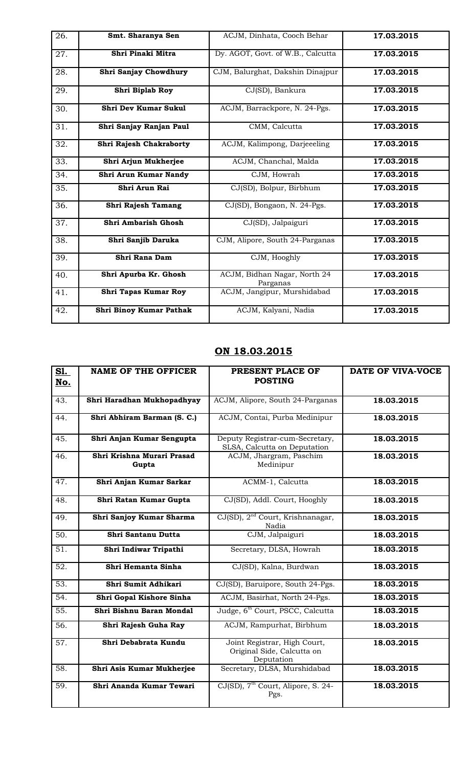| 26. | Smt. Sharanya Sen           | ACJM, Dinhata, Cooch Behar               | 17.03.2015 |
|-----|-----------------------------|------------------------------------------|------------|
| 27. | Shri Pinaki Mitra           | Dy. AGOT, Govt. of W.B., Calcutta        | 17.03.2015 |
| 28. | Shri Sanjay Chowdhury       | CJM, Balurghat, Dakshin Dinajpur         | 17.03.2015 |
| 29. | Shri Biplab Roy             | CJ(SD), Bankura                          | 17.03.2015 |
| 30. | <b>Shri Dev Kumar Sukul</b> | ACJM, Barrackpore, N. 24-Pgs.            | 17.03.2015 |
| 31. | Shri Sanjay Ranjan Paul     | CMM, Calcutta                            | 17.03.2015 |
| 32. | Shri Rajesh Chakraborty     | ACJM, Kalimpong, Darjeeeling             | 17.03.2015 |
| 33. | Shri Arjun Mukherjee        | ACJM, Chanchal, Malda                    | 17.03.2015 |
| 34. | Shri Arun Kumar Nandy       | CJM, Howrah                              | 17.03.2015 |
| 35. | Shri Arun Rai               | CJ(SD), Bolpur, Birbhum                  | 17.03.2015 |
| 36. | Shri Rajesh Tamang          | CJ(SD), Bongaon, N. 24-Pgs.              | 17.03.2015 |
| 37. | Shri Ambarish Ghosh         | CJ(SD), Jalpaiguri                       | 17.03.2015 |
| 38. | Shri Sanjib Daruka          | CJM, Alipore, South 24-Parganas          | 17.03.2015 |
| 39. | Shri Rana Dam               | CJM, Hooghly                             | 17.03.2015 |
| 40. | Shri Apurba Kr. Ghosh       | ACJM, Bidhan Nagar, North 24<br>Parganas | 17.03.2015 |
| 41. | Shri Tapas Kumar Roy        | ACJM, Jangipur, Murshidabad              | 17.03.2015 |
| 42. | Shri Binoy Kumar Pathak     | ACJM, Kalyani, Nadia                     | 17.03.2015 |

## **ON 18.03.2015**

| S1.<br>No.        | <b>NAME OF THE OFFICER</b>          | PRESENT PLACE OF<br><b>POSTING</b>                                       | DATE OF VIVA-VOCE |
|-------------------|-------------------------------------|--------------------------------------------------------------------------|-------------------|
|                   |                                     |                                                                          |                   |
| 43.               | Shri Haradhan Mukhopadhyay          | ACJM, Alipore, South 24-Parganas                                         | 18.03.2015        |
| 44.               | Shri Abhiram Barman (S. C.)         | ACJM, Contai, Purba Medinipur                                            | 18.03.2015        |
| 45.               | Shri Anjan Kumar Sengupta           | Deputy Registrar-cum-Secretary,<br>SLSA, Calcutta on Deputation          | 18.03.2015        |
| 46.               | Shri Krishna Murari Prasad<br>Gupta | ACJM, Jhargram, Paschim<br>Medinipur                                     | 18.03.2015        |
| $\overline{47}$ . | Shri Anjan Kumar Sarkar             | ACMM-1, Calcutta                                                         | 18.03.2015        |
| 48.               | Shri Ratan Kumar Gupta              | CJ(SD), Addl. Court, Hooghly                                             | 18.03.2015        |
| 49.               | Shri Sanjoy Kumar Sharma            | CJ(SD), 2 <sup>nd</sup> Court, Krishnanagar,<br>Nadia                    | 18.03.2015        |
| 50.               | Shri Santanu Dutta                  | CJM, Jalpaiguri                                                          | 18.03.2015        |
| 51.               | Shri Indiwar Tripathi               | Secretary, DLSA, Howrah                                                  | 18.03.2015        |
| 52.               | Shri Hemanta Sinha                  | CJ(SD), Kalna, Burdwan                                                   | 18.03.2015        |
| 53.               | Shri Sumit Adhikari                 | CJ(SD), Baruipore, South 24-Pgs.                                         | 18.03.2015        |
| 54.               | Shri Gopal Kishore Sinha            | ACJM, Basirhat, North 24-Pgs.                                            | 18.03.2015        |
| $\overline{55}$ . | Shri Bishnu Baran Mondal            | Judge, 6 <sup>th</sup> Court, PSCC, Calcutta                             | 18.03.2015        |
| 56.               | Shri Rajesh Guha Ray                | ACJM, Rampurhat, Birbhum                                                 | 18.03.2015        |
| $\overline{57}$ . | Shri Debabrata Kundu                | Joint Registrar, High Court,<br>Original Side, Calcutta on<br>Deputation | 18.03.2015        |
| 58.               | Shri Asis Kumar Mukherjee           | Secretary, DLSA, Murshidabad                                             | 18.03.2015        |
| 59.               | Shri Ananda Kumar Tewari            | CJ(SD), 7 <sup>th</sup> Court, Alipore, S. 24-<br>Pgs.                   | 18.03.2015        |